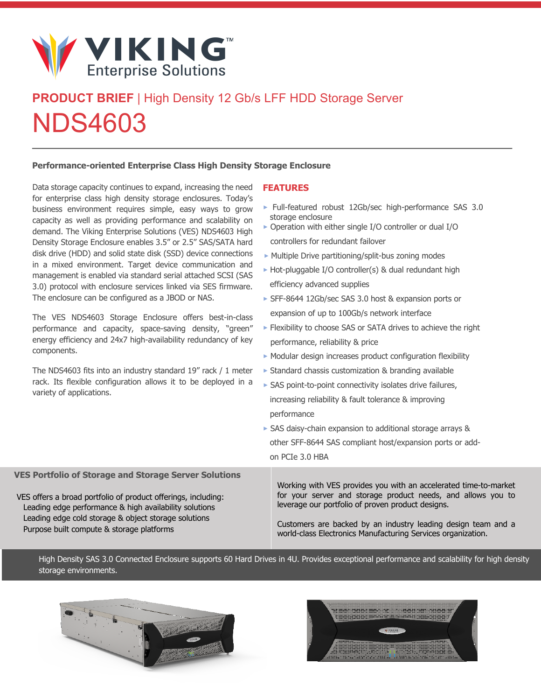

# **PRODUCT BRIEF** | High Density 12 Gb/s LFF HDD Storage Server NDS4603

#### **Performance-oriented Enterprise Class High Density Storage Enclosure**

Data storage capacity continues to expand, increasing the need for enterprise class high density storage enclosures. Today's business environment requires simple, easy ways to grow capacity as well as providing performance and scalability on demand. The Viking Enterprise Solutions (VES) NDS4603 High Density Storage Enclosure enables 3.5" or 2.5" SAS/SATA hard disk drive (HDD) and solid state disk (SSD) device connections in a mixed environment. Target device communication and management is enabled via standard serial attached SCSI (SAS 3.0) protocol with enclosure services linked via SES firmware. The enclosure can be configured as a JBOD or NAS.

The VES NDS4603 Storage Enclosure offers best-in-class performance and capacity, space-saving density, "green" energy efficiency and 24x7 high-availability redundancy of key components.

The NDS4603 fits into an industry standard 19" rack / 1 meter rack. Its flexible configuration allows it to be deployed in a variety of applications.

### **FEATURES**

- **‣** Full-featured robust 12Gb/sec high-performance SAS 3.0 storage enclosure
- **‣** Operation with either single I/O controller or dual I/O controllers for redundant failover
- **‣** Multiple Drive partitioning/split-bus zoning modes
- **‣** Hot-pluggable I/O controller(s) & dual redundant high efficiency advanced supplies
- **‣** SFF-8644 12Gb/sec SAS 3.0 host & expansion ports or expansion of up to 100Gb/s network interface
- **‣** Flexibility to choose SAS or SATA drives to achieve the right performance, reliability & price
- **‣** Modular design increases product configuration flexibility
- **‣** Standard chassis customization & branding available
- **‣** SAS point-to-point connectivity isolates drive failures, increasing reliability & fault tolerance & improving performance
- **‣** SAS daisy-chain expansion to additional storage arrays & other SFF-8644 SAS compliant host/expansion ports or addon PCIe 3.0 HBA

**VES Portfolio of Storage and Storage Server Solutions** VES offers a broad portfolio of product offerings, including: Leading edge performance & high availability solutions Leading edge cold storage & object storage solutions Purpose built compute & storage platforms Working with VES provides you with an accelerated time-to-market for your server and storage product needs, and allows you to leverage our portfolio of proven product designs. Customers are backed by an industry leading design team and a world-class Electronics Manufacturing Services organization.

High Density SAS 3.0 Connected Enclosure supports 60 Hard Drives in 4U. Provides exceptional performance and scalability for high density storage environments.